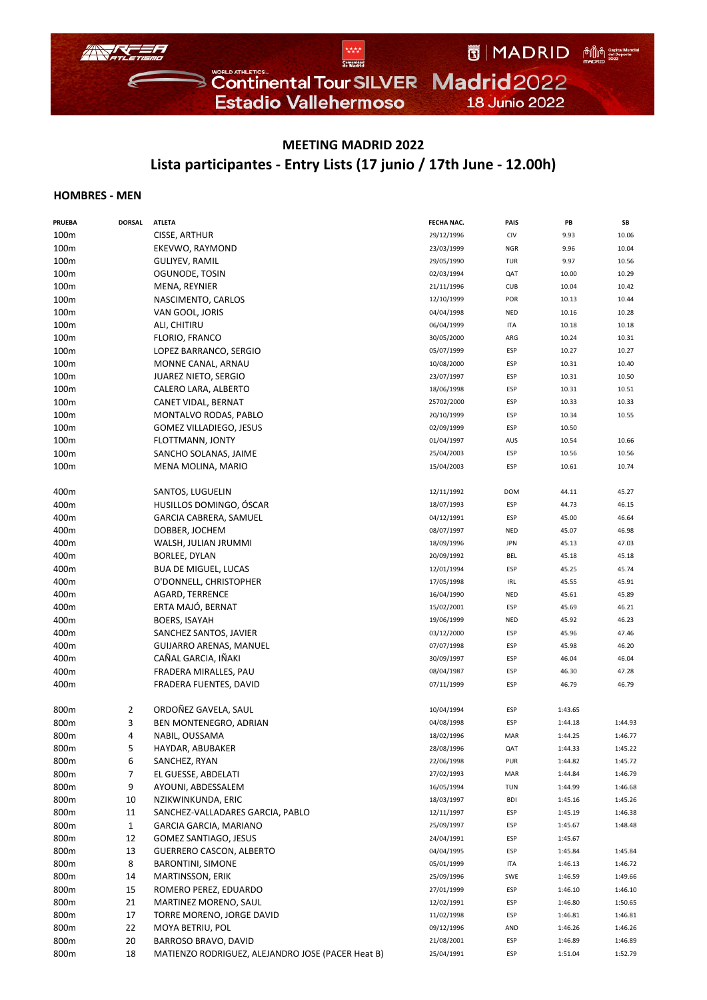

## **MEETING MADRID 2022 Lista participantes ‐ Entry Lists (17 junio / 17th June ‐ 12.00h)**

## **HOMBRES ‐ MEN**

| <b>PRUEBA</b> | <b>DORSAL</b> | <b>ATLETA</b>                                     | FECHA NAC. | PAIS       | PB      | SB      |
|---------------|---------------|---------------------------------------------------|------------|------------|---------|---------|
| 100m          |               | CISSE, ARTHUR                                     | 29/12/1996 | CIV        | 9.93    | 10.06   |
| 100m          |               | EKEVWO, RAYMOND                                   | 23/03/1999 | <b>NGR</b> | 9.96    | 10.04   |
| 100m          |               | GULIYEV, RAMIL                                    | 29/05/1990 | TUR        | 9.97    | 10.56   |
| 100m          |               | OGUNODE, TOSIN                                    | 02/03/1994 | QAT        | 10.00   | 10.29   |
| 100m          |               | MENA, REYNIER                                     | 21/11/1996 | <b>CUB</b> | 10.04   | 10.42   |
| 100m          |               | NASCIMENTO, CARLOS                                | 12/10/1999 | POR        | 10.13   | 10.44   |
| 100m          |               | VAN GOOL, JORIS                                   | 04/04/1998 | <b>NED</b> | 10.16   | 10.28   |
| 100m          |               | ALI, CHITIRU                                      | 06/04/1999 | ITA        | 10.18   | 10.18   |
| 100m          |               | <b>FLORIO, FRANCO</b>                             | 30/05/2000 | ARG        | 10.24   | 10.31   |
| 100m          |               | LOPEZ BARRANCO, SERGIO                            | 05/07/1999 | ESP        | 10.27   | 10.27   |
| 100m          |               | MONNE CANAL, ARNAU                                | 10/08/2000 | ESP        | 10.31   | 10.40   |
| 100m          |               | <b>JUAREZ NIETO, SERGIO</b>                       | 23/07/1997 | ESP        | 10.31   | 10.50   |
| 100m          |               | CALERO LARA, ALBERTO                              | 18/06/1998 | ESP        | 10.31   | 10.51   |
| 100m          |               | CANET VIDAL, BERNAT                               | 25702/2000 | ESP        | 10.33   | 10.33   |
| 100m          |               | MONTALVO RODAS, PABLO                             | 20/10/1999 | ESP        | 10.34   | 10.55   |
| 100m          |               | <b>GOMEZ VILLADIEGO, JESUS</b>                    | 02/09/1999 | ESP        | 10.50   |         |
| 100m          |               | FLOTTMANN, JONTY                                  | 01/04/1997 | AUS        | 10.54   | 10.66   |
| 100m          |               | SANCHO SOLANAS, JAIME                             | 25/04/2003 | ESP        | 10.56   | 10.56   |
| 100m          |               | MENA MOLINA, MARIO                                | 15/04/2003 | ESP        | 10.61   | 10.74   |
|               |               |                                                   |            |            |         |         |
| 400m          |               | SANTOS, LUGUELIN                                  | 12/11/1992 | <b>DOM</b> | 44.11   | 45.27   |
| 400m          |               | HUSILLOS DOMINGO, ÓSCAR                           | 18/07/1993 | ESP        | 44.73   | 46.15   |
| 400m          |               | GARCIA CABRERA, SAMUEL                            | 04/12/1991 | ESP        | 45.00   | 46.64   |
| 400m          |               | DOBBER, JOCHEM                                    | 08/07/1997 | <b>NED</b> | 45.07   | 46.98   |
| 400m          |               | WALSH, JULIAN JRUMMI                              | 18/09/1996 | <b>JPN</b> | 45.13   | 47.03   |
| 400m          |               | BORLEE, DYLAN                                     | 20/09/1992 | <b>BEL</b> | 45.18   | 45.18   |
| 400m          |               | <b>BUA DE MIGUEL, LUCAS</b>                       | 12/01/1994 | ESP        | 45.25   | 45.74   |
| 400m          |               | O'DONNELL, CHRISTOPHER                            | 17/05/1998 | IRL        | 45.55   | 45.91   |
| 400m          |               | <b>AGARD, TERRENCE</b>                            | 16/04/1990 | <b>NED</b> | 45.61   | 45.89   |
| 400m          |               | ERTA MAJÓ, BERNAT                                 | 15/02/2001 | ESP        | 45.69   | 46.21   |
| 400m          |               | <b>BOERS, ISAYAH</b>                              | 19/06/1999 | NED        | 45.92   | 46.23   |
| 400m          |               | SANCHEZ SANTOS, JAVIER                            | 03/12/2000 | ESP        | 45.96   | 47.46   |
| 400m          |               | <b>GUIJARRO ARENAS, MANUEL</b>                    | 07/07/1998 | ESP        | 45.98   | 46.20   |
| 400m          |               | CAÑAL GARCIA, IÑAKI                               | 30/09/1997 | ESP        | 46.04   | 46.04   |
| 400m          |               | FRADERA MIRALLES, PAU                             | 08/04/1987 | ESP        | 46.30   | 47.28   |
| 400m          |               | FRADERA FUENTES, DAVID                            | 07/11/1999 | ESP        | 46.79   | 46.79   |
| 800m          | 2             | ORDOÑEZ GAVELA, SAUL                              | 10/04/1994 | ESP        | 1:43.65 |         |
| 800m          | 3             | BEN MONTENEGRO, ADRIAN                            | 04/08/1998 | ESP        | 1:44.18 | 1:44.93 |
| 800m          | 4             | NABIL, OUSSAMA                                    | 18/02/1996 | MAR        | 1:44.25 | 1:46.77 |
| 800m          | 5             | HAYDAR, ABUBAKER                                  | 28/08/1996 | QAT        | 1:44.33 | 1:45.22 |
| 800m          | 6             | SANCHEZ, RYAN                                     | 22/06/1998 | PUR        | 1:44.82 | 1:45.72 |
| 800m          | 7             | EL GUESSE, ABDELATI                               | 27/02/1993 | MAR        | 1:44.84 | 1:46.79 |
| 800m          | 9             | AYOUNI, ABDESSALEM                                | 16/05/1994 | TUN        | 1:44.99 | 1:46.68 |
| 800m          | 10            | NZIKWINKUNDA, ERIC                                | 18/03/1997 | <b>BDI</b> | 1:45.16 | 1:45.26 |
| 800m          | 11            | SANCHEZ-VALLADARES GARCIA, PABLO                  | 12/11/1997 | ESP        | 1:45.19 | 1:46.38 |
| 800m          | 1             | GARCIA GARCIA, MARIANO                            | 25/09/1997 | ESP        | 1:45.67 | 1:48.48 |
| 800m          | 12            | GOMEZ SANTIAGO, JESUS                             | 24/04/1991 | ESP        | 1:45.67 |         |
| 800m          | 13            | <b>GUERRERO CASCON, ALBERTO</b>                   | 04/04/1995 | ESP        | 1:45.84 | 1:45.84 |
| 800m          | 8             | <b>BARONTINI, SIMONE</b>                          | 05/01/1999 | ITA        | 1:46.13 | 1:46.72 |
| 800m          | 14            | MARTINSSON, ERIK                                  | 25/09/1996 | SWE        | 1:46.59 | 1:49.66 |
| 800m          | 15            | ROMERO PEREZ, EDUARDO                             | 27/01/1999 | ESP        | 1:46.10 | 1:46.10 |
| 800m          | 21            | MARTINEZ MORENO, SAUL                             | 12/02/1991 | ESP        | 1:46.80 | 1:50.65 |
| 800m          | 17            | TORRE MORENO, JORGE DAVID                         | 11/02/1998 | ESP        | 1:46.81 | 1:46.81 |
| 800m          | 22            | MOYA BETRIU, POL                                  | 09/12/1996 | AND        | 1:46.26 | 1:46.26 |
| 800m          | 20            | BARROSO BRAVO, DAVID                              | 21/08/2001 | ESP        | 1:46.89 | 1:46.89 |
| 800m          | 18            | MATIENZO RODRIGUEZ, ALEJANDRO JOSE (PACER Heat B) | 25/04/1991 | ESP        | 1:51.04 | 1:52.79 |
|               |               |                                                   |            |            |         |         |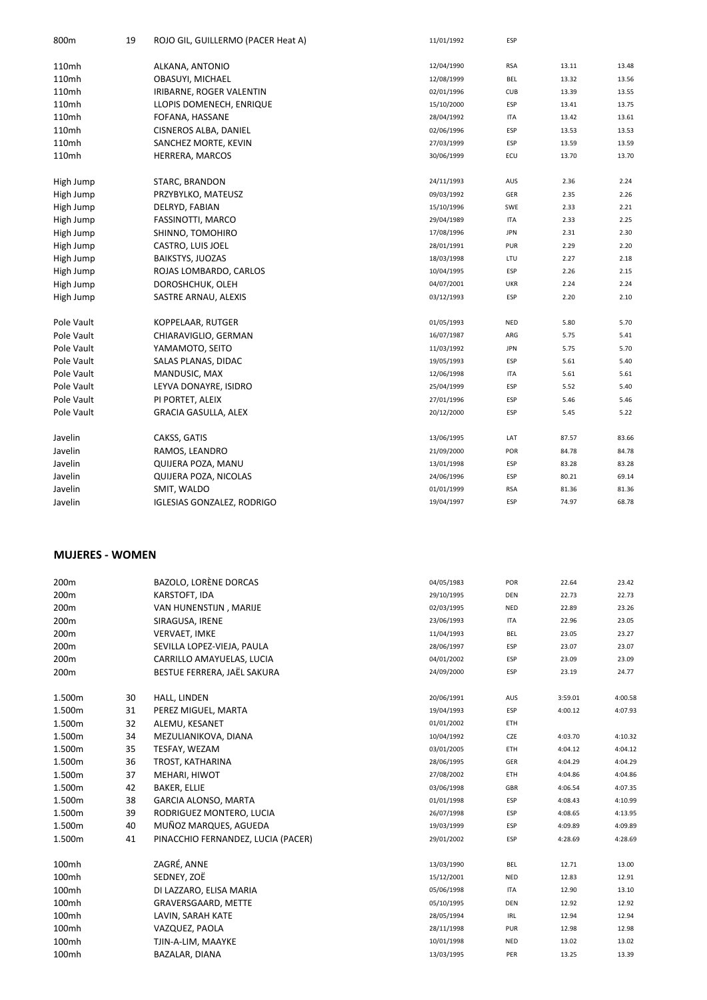| 800 <sub>m</sub> | 19 | ROJO GIL, GUILLERMO (PACER Heat A) | 11/01/1992 | ESP        |       |       |
|------------------|----|------------------------------------|------------|------------|-------|-------|
| 110mh            |    | ALKANA, ANTONIO                    | 12/04/1990 | <b>RSA</b> | 13.11 | 13.48 |
| 110mh            |    | OBASUYI, MICHAEL                   | 12/08/1999 | <b>BEL</b> | 13.32 | 13.56 |
| 110mh            |    | IRIBARNE, ROGER VALENTIN           | 02/01/1996 | <b>CUB</b> | 13.39 | 13.55 |
| 110mh            |    | LLOPIS DOMENECH, ENRIQUE           | 15/10/2000 | ESP        | 13.41 | 13.75 |
| 110mh            |    | FOFANA, HASSANE                    | 28/04/1992 | ITA        | 13.42 | 13.61 |
| 110mh            |    | CISNEROS ALBA, DANIEL              | 02/06/1996 | ESP        | 13.53 | 13.53 |
| 110mh            |    | SANCHEZ MORTE, KEVIN               | 27/03/1999 | ESP        | 13.59 | 13.59 |
| 110mh            |    | HERRERA, MARCOS                    | 30/06/1999 | ECU        | 13.70 | 13.70 |
| High Jump        |    | STARC, BRANDON                     | 24/11/1993 | AUS        | 2.36  | 2.24  |
| High Jump        |    | PRZYBYLKO, MATEUSZ                 | 09/03/1992 | GER        | 2.35  | 2.26  |
| High Jump        |    | DELRYD, FABIAN                     | 15/10/1996 | SWE        | 2.33  | 2.21  |
| High Jump        |    | FASSINOTTI, MARCO                  | 29/04/1989 | <b>ITA</b> | 2.33  | 2.25  |
| High Jump        |    | SHINNO, TOMOHIRO                   | 17/08/1996 | <b>JPN</b> | 2.31  | 2.30  |
| High Jump        |    | CASTRO, LUIS JOEL                  | 28/01/1991 | PUR        | 2.29  | 2.20  |
| High Jump        |    | <b>BAIKSTYS, JUOZAS</b>            | 18/03/1998 | LTU        | 2.27  | 2.18  |
| High Jump        |    | ROJAS LOMBARDO, CARLOS             | 10/04/1995 | ESP        | 2.26  | 2.15  |
| High Jump        |    | DOROSHCHUK, OLEH                   | 04/07/2001 | <b>UKR</b> | 2.24  | 2.24  |
| High Jump        |    | SASTRE ARNAU, ALEXIS               | 03/12/1993 | ESP        | 2.20  | 2.10  |
| Pole Vault       |    | KOPPELAAR, RUTGER                  | 01/05/1993 | <b>NED</b> | 5.80  | 5.70  |
| Pole Vault       |    | CHIARAVIGLIO, GERMAN               | 16/07/1987 | ARG        | 5.75  | 5.41  |
| Pole Vault       |    | YAMAMOTO, SEITO                    | 11/03/1992 | <b>JPN</b> | 5.75  | 5.70  |
| Pole Vault       |    | SALAS PLANAS, DIDAC                | 19/05/1993 | ESP        | 5.61  | 5.40  |
| Pole Vault       |    | MANDUSIC, MAX                      | 12/06/1998 | <b>ITA</b> | 5.61  | 5.61  |
| Pole Vault       |    | LEYVA DONAYRE, ISIDRO              | 25/04/1999 | ESP        | 5.52  | 5.40  |
| Pole Vault       |    | PI PORTET, ALEIX                   | 27/01/1996 | ESP        | 5.46  | 5.46  |
| Pole Vault       |    | <b>GRACIA GASULLA, ALEX</b>        | 20/12/2000 | ESP        | 5.45  | 5.22  |
| Javelin          |    | CAKSS, GATIS                       | 13/06/1995 | LAT        | 87.57 | 83.66 |
| Javelin          |    | RAMOS, LEANDRO                     | 21/09/2000 | POR        | 84.78 | 84.78 |
| Javelin          |    | QUIJERA POZA, MANU                 | 13/01/1998 | ESP        | 83.28 | 83.28 |
| Javelin          |    | QUIJERA POZA, NICOLAS              | 24/06/1996 | ESP        | 80.21 | 69.14 |
| Javelin          |    | SMIT, WALDO                        | 01/01/1999 | <b>RSA</b> | 81.36 | 81.36 |
| Javelin          |    | <b>IGLESIAS GONZALEZ, RODRIGO</b>  | 19/04/1997 | ESP        | 74.97 | 68.78 |

## **MUJERES ‐ WOMEN**

| 200m   |    | BAZOLO, LORÈNE DORCAS              | 04/05/1983 | POR        | 22.64   | 23.42   |
|--------|----|------------------------------------|------------|------------|---------|---------|
| 200m   |    | KARSTOFT, IDA                      | 29/10/1995 | <b>DEN</b> | 22.73   | 22.73   |
| 200m   |    | VAN HUNENSTIJN, MARIJE             | 02/03/1995 | NED        | 22.89   | 23.26   |
| 200m   |    | SIRAGUSA, IRENE                    | 23/06/1993 | <b>ITA</b> | 22.96   | 23.05   |
| 200m   |    | <b>VERVAET, IMKE</b>               | 11/04/1993 | BEL        | 23.05   | 23.27   |
| 200m   |    | SEVILLA LOPEZ-VIEJA, PAULA         | 28/06/1997 | ESP        | 23.07   | 23.07   |
| 200m   |    | CARRILLO AMAYUELAS, LUCIA          | 04/01/2002 | ESP        | 23.09   | 23.09   |
| 200m   |    | BESTUE FERRERA, JAËL SAKURA        | 24/09/2000 | ESP        | 23.19   | 24.77   |
| 1.500m | 30 | HALL, LINDEN                       | 20/06/1991 | AUS        | 3:59.01 | 4:00.58 |
| 1.500m | 31 | PEREZ MIGUEL, MARTA                | 19/04/1993 | ESP        | 4:00.12 | 4:07.93 |
| 1.500m | 32 | ALEMU, KESANET                     | 01/01/2002 | ETH        |         |         |
| 1.500m | 34 | MEZULIANIKOVA, DIANA               | 10/04/1992 | CZE        | 4:03.70 | 4:10.32 |
| 1.500m | 35 | TESFAY, WEZAM                      | 03/01/2005 | <b>ETH</b> | 4:04.12 | 4:04.12 |
| 1.500m | 36 | TROST, KATHARINA                   | 28/06/1995 | GER        | 4:04.29 | 4:04.29 |
| 1.500m | 37 | MEHARI, HIWOT                      | 27/08/2002 | ETH        | 4:04.86 | 4:04.86 |
| 1.500m | 42 | <b>BAKER, ELLIE</b>                | 03/06/1998 | GBR        | 4:06.54 | 4:07.35 |
| 1.500m | 38 | <b>GARCIA ALONSO, MARTA</b>        | 01/01/1998 | ESP        | 4:08.43 | 4:10.99 |
| 1.500m | 39 | RODRIGUEZ MONTERO, LUCIA           | 26/07/1998 | ESP        | 4:08.65 | 4:13.95 |
| 1.500m | 40 | MUÑOZ MARQUES, AGUEDA              | 19/03/1999 | ESP        | 4:09.89 | 4:09.89 |
| 1.500m | 41 | PINACCHIO FERNANDEZ, LUCIA (PACER) | 29/01/2002 | ESP        | 4:28.69 | 4:28.69 |
| 100mh  |    | ZAGRÉ, ANNE                        | 13/03/1990 | BEL        | 12.71   | 13.00   |
| 100mh  |    | SEDNEY, ZOË                        | 15/12/2001 | <b>NED</b> | 12.83   | 12.91   |
| 100mh  |    | DI LAZZARO, ELISA MARIA            | 05/06/1998 | <b>ITA</b> | 12.90   | 13.10   |
| 100mh  |    | GRAVERSGAARD, METTE                | 05/10/1995 | DEN        | 12.92   | 12.92   |
| 100mh  |    | LAVIN, SARAH KATE                  | 28/05/1994 | IRL        | 12.94   | 12.94   |
| 100mh  |    | VAZQUEZ, PAOLA                     | 28/11/1998 | PUR        | 12.98   | 12.98   |
| 100mh  |    | TJIN-A-LIM, MAAYKE                 | 10/01/1998 | NED        | 13.02   | 13.02   |
| 100mh  |    | BAZALAR, DIANA                     | 13/03/1995 | PER        | 13.25   | 13.39   |
|        |    |                                    |            |            |         |         |